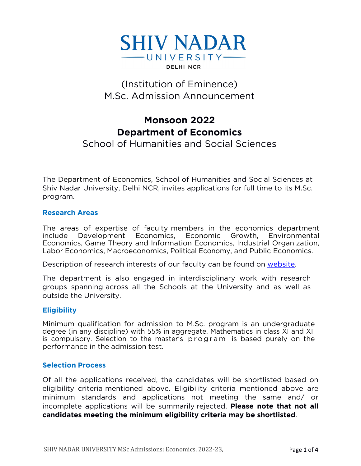

# (Institution of Eminence) M.Sc. Admission Announcement

## **Monsoon 2022 Department of Economics**

## School of Humanities and Social Sciences

The Department of Economics, School of Humanities and Social Sciences at Shiv Nadar University, Delhi NCR, invites applications for full time to its M.Sc. program.

#### **Research Areas**

The areas of expertise of faculty members in the economics department include Development Economics, Economic Growth, Environmental Economics, Game Theory and Information Economics, Industrial Organization, Labor Economics, Macroeconomics, Political Economy, and Public Economics.

Description of research interests of our faculty can be found on [website.](https://economics.snu.edu.in/people/faculty)

The department is also engaged in interdisciplinary work with research groups spanning across all the Schools at the University and as well as outside the University.

#### **Eligibility**

Minimum qualification for admission to M.Sc. program is an undergraduate degree (in any discipline) with 55% in aggregate. Mathematics in class XI and XII is compulsory. Selection to the master's program is based purely on the performance in the admission test.

#### **Selection Process**

Of all the applications received, the candidates will be shortlisted based on eligibility criteria mentioned above. Eligibility criteria mentioned above are minimum standards and applications not meeting the same and/ or incomplete applications will be summarily rejected. **Please note that not all candidates meeting the minimum eligibility criteria may be shortlisted**.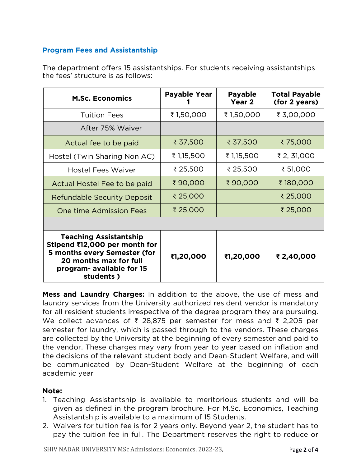## **Program Fees and Assistantship**

The department offers 15 assistantships. For students receiving assistantships the fees' structure is as follows:

| <b>M.Sc. Economics</b>                                                                                                                                             | <b>Payable Year</b> | <b>Payable</b><br>Year 2 | <b>Total Payable</b><br>(for 2 years) |
|--------------------------------------------------------------------------------------------------------------------------------------------------------------------|---------------------|--------------------------|---------------------------------------|
| <b>Tuition Fees</b>                                                                                                                                                | ₹1,50,000           | ₹1,50,000                | ₹ 3,00,000                            |
| After 75% Waiver                                                                                                                                                   |                     |                          |                                       |
| Actual fee to be paid                                                                                                                                              | ₹ 37,500            | ₹ 37,500                 | ₹75,000                               |
| Hostel (Twin Sharing Non AC)                                                                                                                                       | ₹ 1,15,500          | ₹ 1,15,500               | ₹ 2, 31,000                           |
| <b>Hostel Fees Waiver</b>                                                                                                                                          | ₹ 25,500            | ₹ 25,500                 | ₹ 51,000                              |
| Actual Hostel Fee to be paid                                                                                                                                       | ₹90,000             | ₹90,000                  | ₹180,000                              |
| <b>Refundable Security Deposit</b>                                                                                                                                 | ₹ 25,000            |                          | ₹ 25,000                              |
| One time Admission Fees                                                                                                                                            | ₹ 25,000            |                          | ₹ 25,000                              |
|                                                                                                                                                                    |                     |                          |                                       |
| <b>Teaching Assistantship</b><br>Stipend ₹12,000 per month for<br>5 months every Semester (for<br>20 months max for full<br>program- available for 15<br>students) | ₹1,20,000           | ₹1,20,000                | ₹ 2,40,000                            |

**Mess and Laundry Charges:** In addition to the above, the use of mess and laundry services from the University authorized resident vendor is mandatory for all resident students irrespective of the degree program they are pursuing. We collect advances of ₹ 28,875 per semester for mess and ₹ 2,205 per semester for laundry, which is passed through to the vendors. These charges are collected by the University at the beginning of every semester and paid to the vendor. These charges may vary from year to year based on inflation and the decisions of the relevant student body and Dean-Student Welfare, and will be communicated by Dean-Student Welfare at the beginning of each academic year

### **Note:**

- 1. Teaching Assistantship is available to meritorious students and will be given as defined in the program brochure. For M.Sc. Economics, Teaching Assistantship is available to a maximum of 15 Students.
- 2. Waivers for tuition fee is for 2 years only. Beyond year 2, the student has to pay the tuition fee in full. The Department reserves the right to reduce or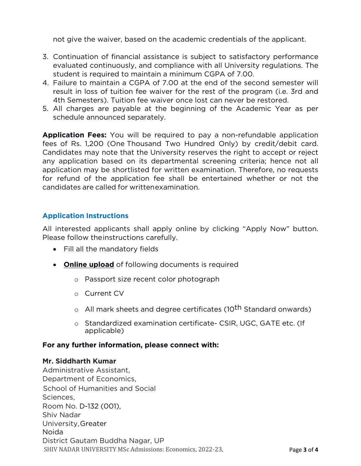not give the waiver, based on the academic credentials of the applicant.

- 3. Continuation of financial assistance is subject to satisfactory performance evaluated continuously, and compliance with all University regulations. The student is required to maintain a minimum CGPA of 7.00.
- 4. Failure to maintain a CGPA of 7.00 at the end of the second semester will result in loss of tuition fee waiver for the rest of the program (i.e. 3rd and 4th Semesters). Tuition fee waiver once lost can never be restored.
- 5. All charges are payable at the beginning of the Academic Year as per schedule announced separately.

**Application Fees:** You will be required to pay a non-refundable application fees of Rs. 1,200 (One Thousand Two Hundred Only) by credit/debit card. Candidates may note that the University reserves the right to accept or reject any application based on its departmental screening criteria; hence not all application may be shortlisted for written examination. Therefore, no requests for refund of the application fee shall be entertained whether or not the candidates are called for writtenexamination.

## **Application Instructions**

All interested applicants shall apply online by clicking "Apply Now" button. Please follow theinstructions carefully.

- Fill all the mandatory fields
- **Online upload** of following documents is required
	- o Passport size recent color photograph
	- o Current CV
	- o All mark sheets and degree certificates (10<sup>th</sup> Standard onwards)
	- o Standardized examination certificate- CSIR, UGC, GATE etc. (If applicable)

### **For any further information, please connect with:**

#### **Mr. Siddharth Kumar**

SHIV NADAR UNIVERSITY MSc Admissions: Economics, 2022-23, Page **3** of **4** Administrative Assistant, Department of Economics, School of Humanities and Social Sciences, Room No. D-132 (001), Shiv Nadar University,Greater Noida District Gautam Buddha Nagar, UP